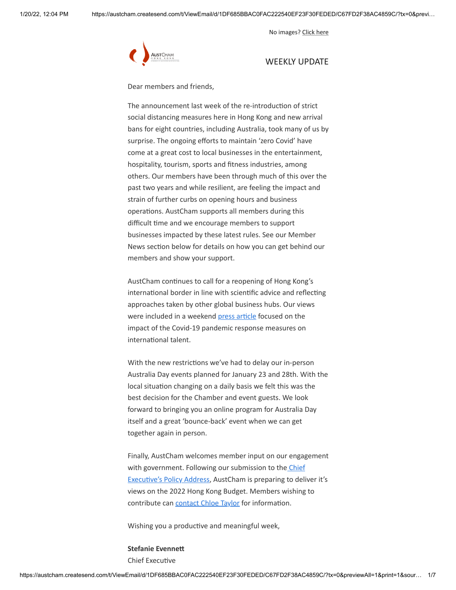No images? [Click here](https://theaustralianchamberofcommercehongkong.createsend1.com/t/d-e-ahklyly-l-v/)



# WEEKLY UPDATE

Dear members and friends,

The announcement last week of the re-introduction of strict social distancing measures here in Hong Kong and new arrival bans for eight countries, including Australia, took many of us by surprise. The ongoing efforts to maintain 'zero Covid' have come at a great cost to local businesses in the entertainment, hospitality, tourism, sports and fitness industries, among others. Our members have been through much of this over the past two years and while resilient, are feeling the impact and strain of further curbs on opening hours and business operations. AustCham supports all members during this difficult time and we encourage members to support businesses impacted by these latest rules. See our Member News section below for details on how you can get behind our members and show your support.

AustCham continues to call for a reopening of Hong Kong's international border in line with scientific advice and reflecting approaches taken by other global business hubs. Our views were included in a weekend [press article](https://theaustralianchamberofcommercehongkong.createsend1.com/t/d-l-ahklyly-l-r/) focused on the impact of the Covid-19 pandemic response measures on international talent.

With the new restrictions we've had to delay our in-person Australia Day events planned for January 23 and 28th. With the local situation changing on a daily basis we felt this was the best decision for the Chamber and event guests. We look forward to bringing you an online program for Australia Day itself and a great 'bounce-back' event when we can get together again in person.

Finally, AustCham welcomes member input on our engagement with government. Following our submission to the Chief [Executive's Policy Address, AustCham is preparing to deli](https://theaustralianchamberofcommercehongkong.createsend1.com/t/d-l-ahklyly-l-j/)ver it's views on the 2022 Hong Kong Budget. Members wishing to contribute can [contact Chloe Taylor](mailto:chloe.taylor@austcham.com.hk) for information.

Wishing you a productive and meaningful week,

**Stefanie Evennett** Chief Executive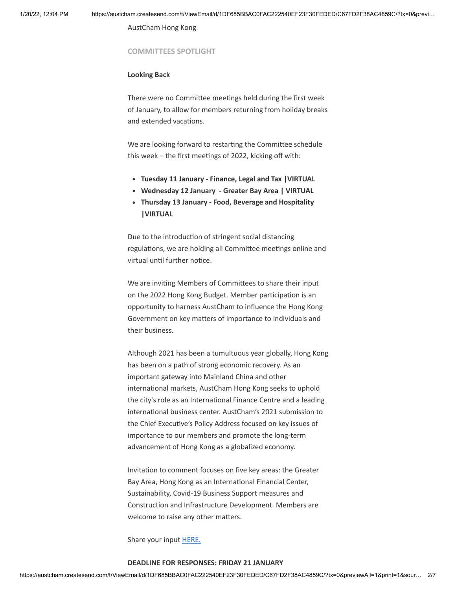AustCham Hong Kong

### **COMMITTEES SPOTLIGHT**

### **Looking Back**

There were no Committee meetings held during the first week of January, to allow for members returning from holiday breaks and extended vacations.

We are looking forward to restarting the Committee schedule this week – the first meetings of 2022, kicking off with:

- **Tuesday 11 January Finance, Legal and Tax |VIRTUAL**
- **Wednesday 12 January Greater Bay Area | VIRTUAL**
- **Thursday 13 January Food, Beverage and Hospitality |VIRTUAL**

Due to the introduction of stringent social distancing regulations, we are holding all Committee meetings online and virtual until further notice.

We are inviting Members of Committees to share their input on the 2022 Hong Kong Budget. Member participation is an opportunity to harness AustCham to influence the Hong Kong Government on key matters of importance to individuals and their business.

Although 2021 has been a tumultuous year globally, Hong Kong has been on a path of strong economic recovery. As an important gateway into Mainland China and other international markets, AustCham Hong Kong seeks to uphold the city's role as an International Finance Centre and a leading international business center. AustCham's 2021 submission to the Chief Executive's Policy Address focused on key issues of importance to our members and promote the long-term advancement of Hong Kong as a globalized economy.

Invitation to comment focuses on five key areas: the Greater Bay Area, Hong Kong as an International Financial Center, Sustainability, Covid-19 Business Support measures and Construction and Infrastructure Development. Members are welcome to raise any other matters.

Share your input **HERE.** 

## **DEADLINE FOR RESPONSES: FRIDAY 21 JANUARY**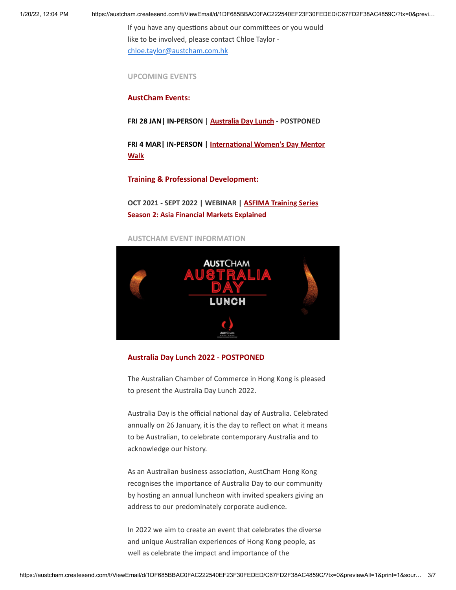1/20/22, 12:04 PM https://austcham.createsend.com/t/ViewEmail/d/1DF685BBAC0FAC222540EF23F30FEDED/C67FD2F38AC4859C/?tx=0&previ…

If you have any questions about our committees or you would like to be involved, please contact Chloe Taylor [chloe.taylor@austcham.com.hk](mailto:chloe.taylor@austcham.com.hk)

**UPCOMING EVENTS**

**AustCham Events:**

**FRI 28 JAN| IN-PERSON | [Australia Day Lunch](https://theaustralianchamberofcommercehongkong.createsend1.com/t/d-l-ahklyly-l-i/) - POSTPONED**

**[FRI 4 MAR| IN-PERSON | International Women's Day Mentor](https://theaustralianchamberofcommercehongkong.createsend1.com/t/d-l-ahklyly-l-d/) Walk**

**Training & Professional Development:**

**OCT 2021 - SEPT 2022 | WEBINAR | ASFIMA Training Series [Season 2: Asia Financial Markets Explained](https://theaustralianchamberofcommercehongkong.createsend1.com/t/d-l-ahklyly-l-h/)**

**AUSTCHAM EVENT INFORMATION**



## **Australia Day Lunch 2022 - POSTPONED**

The Australian Chamber of Commerce in Hong Kong is pleased to present the Australia Day Lunch 2022.

Australia Day is the official national day of Australia. Celebrated annually on 26 January, it is the day to reflect on what it means to be Australian, to celebrate contemporary Australia and to acknowledge our history.

As an Australian business association, AustCham Hong Kong recognises the importance of Australia Day to our community by hosting an annual luncheon with invited speakers giving an address to our predominately corporate audience.

In 2022 we aim to create an event that celebrates the diverse and unique Australian experiences of Hong Kong people, as well as celebrate the impact and importance of the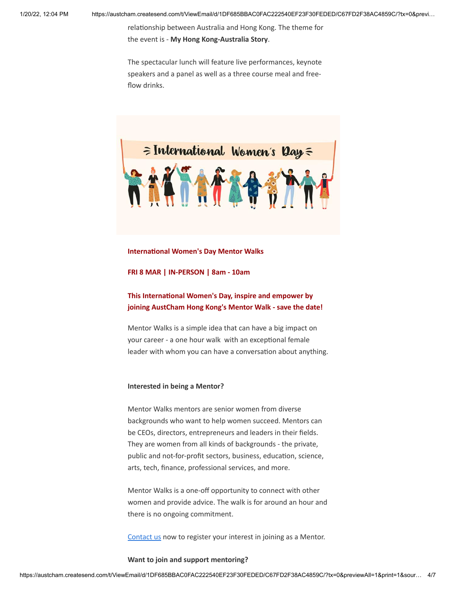relationship between Australia and Hong Kong. The theme for the event is - **My Hong Kong-Australia Story**.

The spectacular lunch will feature live performances, keynote speakers and a panel as well as a three course meal and freeflow drinks.



#### **International Women's Day Mentor Walks**

### **FRI 8 MAR | IN-PERSON | 8am - 10am**

**This International Women's Day, inspire and empower by joining AustCham Hong Kong's Mentor Walk - save the date!**

Mentor Walks is a simple idea that can have a big impact on your career - a one hour walk with an exceptional female leader with whom you can have a conversation about anything.

### **Interested in being a Mentor?**

Mentor Walks mentors are senior women from diverse backgrounds who want to help women succeed. Mentors can be CEOs, directors, entrepreneurs and leaders in their fields. They are women from all kinds of backgrounds - the private, public and not-for-profit sectors, business, education, science, arts, tech, finance, professional services, and more.

Mentor Walks is a one-off opportunity to connect with other women and provide advice. The walk is for around an hour and there is no ongoing commitment.

[Contact us](mailto:stefanie.evennett@austcham.com.hk?subject=I%27d%20like%20to%20be%20a%20Mentor%20for%20Mentor%20Walks) now to register your interest in joining as a Mentor.

#### **Want to join and support mentoring?**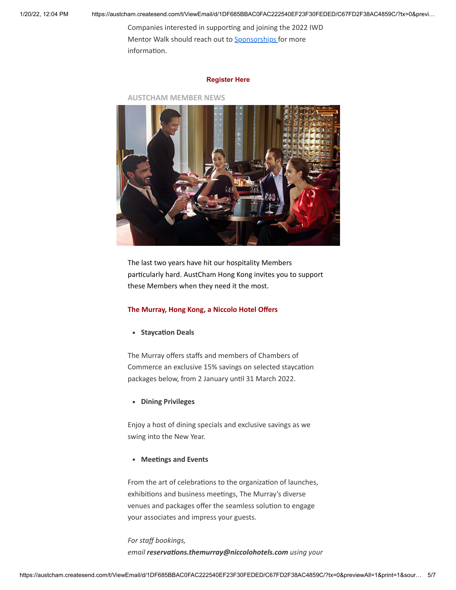1/20/22, 12:04 PM https://austcham.createsend.com/t/ViewEmail/d/1DF685BBAC0FAC222540EF23F30FEDED/C67FD2F38AC4859C/?tx=0&previ…

Companies interested in supporting and joining the 2022 IWD Mentor Walk should reach out to **[S](mailto:lavinia.smith@austcham.com.hk?subject=My%20company%20is%20interested%20in%20Mentor%20Walks)[ponsorships](mailto:sponsorships@austcham.com.hk)** for more information.

## **[Register Here](https://theaustralianchamberofcommercehongkong.createsend1.com/t/d-l-ahklyly-l-o/)**

**AUSTCHAM MEMBER NEWS**



The last two years have hit our hospitality Members particularly hard. AustCham Hong Kong invites you to support these Members when they need it the most.

## **The Murray, Hong Kong, a Niccolo Hotel Offers**

**• Staycation Deals** 

The Murray offers staffs and members of Chambers of Commerce an exclusive 15% savings on selected staycation packages below, from 2 January until 31 March 2022.

**Dining Privileges**

Enjoy a host of dining specials and exclusive savings as we swing into the New Year.

**Meetings and Events**

From the art of celebrations to the organization of launches, exhibitions and business meetings, The Murray's diverse venues and packages offer the seamless solution to engage your associates and impress your guests.

# *For staff bookings, email reservations.themurray@niccolohotels.com using your*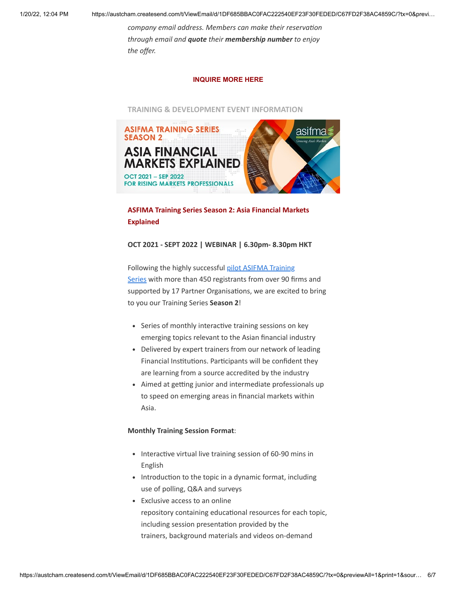1/20/22, 12:04 PM https://austcham.createsend.com/t/ViewEmail/d/1DF685BBAC0FAC222540EF23F30FEDED/C67FD2F38AC4859C/?tx=0&previ…

*company email address. Members can make their reservation through email and quote their membership number to enjoy the offer.*

# **[INQUIRE MORE HERE](mailto:reservations.themurray@niccolohotels.com)**

**TRAINING & DEVELOPMENT EVENT INFORMATION**



# **ASFIMA Training Series Season 2: Asia Financial Markets Explained**

# **OCT 2021 - SEPT 2022 | WEBINAR | 6.30pm- 8.30pm HKT**

Following the highly successful pilot ASIFMA Training Series [with more than 450 registrants from over 90 fi](https://theaustralianchamberofcommercehongkong.createsend1.com/t/d-l-ahklyly-l-p/)rms and supported by 17 Partner Organisations, we are excited to bring to you our Training Series **Season 2**!

- Series of monthly interactive training sessions on key emerging topics relevant to the Asian financial industry
- Delivered by expert trainers from our network of leading Financial Institutions. Participants will be confident they are learning from a source accredited by the industry
- Aimed at getting junior and intermediate professionals up to speed on emerging areas in financial markets within Asia.

# **Monthly Training Session Format**:

- Interactive virtual live training session of 60-90 mins in English
- Introduction to the topic in a dynamic format, including use of polling, Q&A and surveys
- Exclusive access to an online repository containing educational resources for each topic, including session presentation provided by the trainers, background materials and videos on-demand